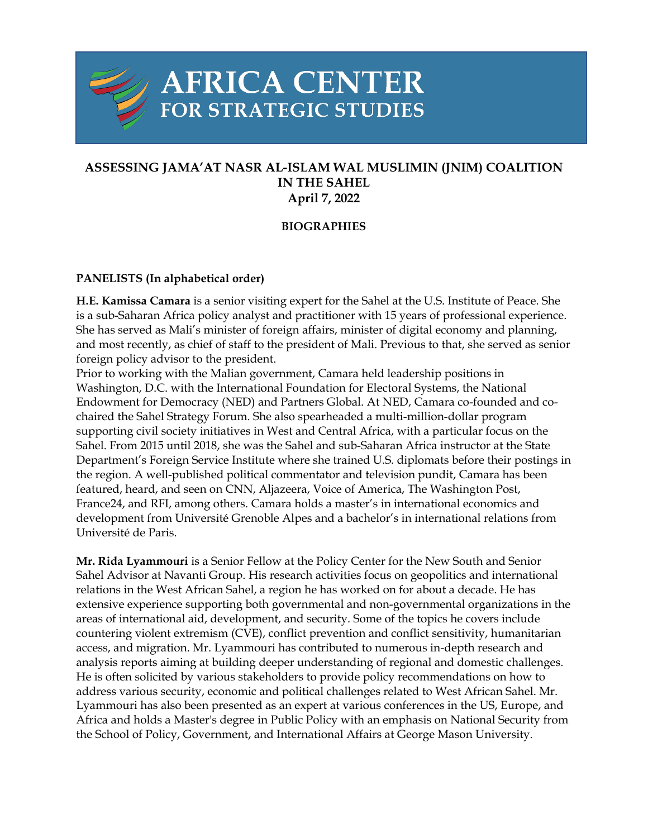

# **AFRICA CENTER** FOR STRATEGIC STUDIES

# **ASSESSING JAMA'AT NASR AL-ISLAM WAL MUSLIMIN (JNIM) COALITION IN THE SAHEL April 7, 2022**

## **BIOGRAPHIES**

### **PANELISTS (In alphabetical order)**

**H.E. Kamissa Camara** is a senior visiting expert for the Sahel at the U.S. Institute of Peace. She is a sub-Saharan Africa policy analyst and practitioner with 15 years of professional experience. She has served as Mali's minister of foreign affairs, minister of digital economy and planning, and most recently, as chief of staff to the president of Mali. Previous to that, she served as senior foreign policy advisor to the president.

Prior to working with the Malian government, Camara held leadership positions in Washington, D.C. with the International Foundation for Electoral Systems, the National Endowment for Democracy (NED) and Partners Global. At NED, Camara co-founded and cochaired the Sahel Strategy Forum. She also spearheaded a multi-million-dollar program supporting civil society initiatives in West and Central Africa, with a particular focus on the Sahel. From 2015 until 2018, she was the Sahel and sub-Saharan Africa instructor at the State Department's Foreign Service Institute where she trained U.S. diplomats before their postings in the region. A well-published political commentator and television pundit, Camara has been featured, heard, and seen on CNN, Aljazeera, Voice of America, The Washington Post, France24, and RFI, among others. Camara holds a master's in international economics and development from Université Grenoble Alpes and a bachelor's in international relations from Université de Paris.

**Mr. Rida Lyammouri** is a Senior Fellow at the Policy Center for the New South and Senior Sahel Advisor at Navanti Group. His research activities focus on geopolitics and international relations in the West African Sahel, a region he has worked on for about a decade. He has extensive experience supporting both governmental and non-governmental organizations in the areas of international aid, development, and security. Some of the topics he covers include countering violent extremism (CVE), conflict prevention and conflict sensitivity, humanitarian access, and migration. Mr. Lyammouri has contributed to numerous in-depth research and analysis reports aiming at building deeper understanding of regional and domestic challenges. He is often solicited by various stakeholders to provide policy recommendations on how to address various security, economic and political challenges related to West African Sahel. Mr. Lyammouri has also been presented as an expert at various conferences in the US, Europe, and Africa and holds a Master's degree in Public Policy with an emphasis on National Security from the School of Policy, Government, and International Affairs at George Mason University.